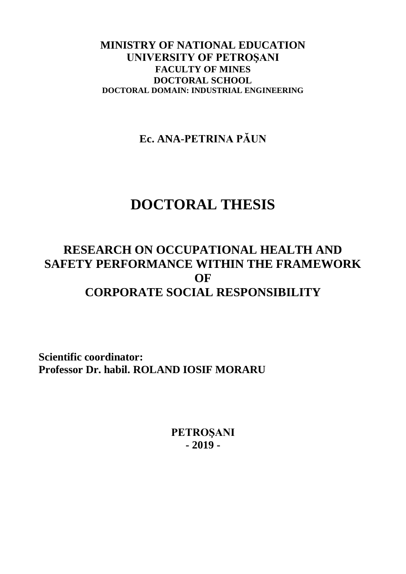## **MINISTRY OF NATIONAL EDUCATION UNIVERSITY OF PETROŞANI FACULTY OF MINES DOCTORAL SCHOOL DOCTORAL DOMAIN: INDUSTRIAL ENGINEERING**

**Ec. ANA-PETRINA PĂUN** 

# **DOCTORAL THESIS**

## **RESEARCH ON OCCUPATIONAL HEALTH AND SAFETY PERFORMANCE WITHIN THE FRAMEWORK OF CORPORATE SOCIAL RESPONSIBILITY**

**Scientific coordinator: Professor Dr. habil. ROLAND IOSIF MORARU**

> **PETROŞANI - 2019 -**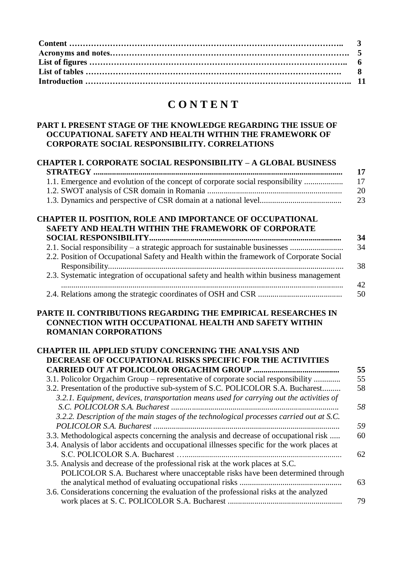## **C O N T E N T**

## **PART I. PRESENT STAGE OF THE KNOWLEDGE REGARDING THE ISSUE OF OCCUPATIONAL SAFETY AND HEALTH WITHIN THE FRAMEWORK OF CORPORATE SOCIAL RESPONSIBILITY. CORRELATIONS**

|                                                                                                                             | <b>CHAPTER I. CORPORATE SOCIAL RESPONSIBILITY - A GLOBAL BUSINESS</b>                                                                                                                |
|-----------------------------------------------------------------------------------------------------------------------------|--------------------------------------------------------------------------------------------------------------------------------------------------------------------------------------|
|                                                                                                                             |                                                                                                                                                                                      |
|                                                                                                                             | 1.1. Emergence and evolution of the concept of corporate social responsibility                                                                                                       |
|                                                                                                                             |                                                                                                                                                                                      |
|                                                                                                                             |                                                                                                                                                                                      |
| CHAPTER II. POSITION, ROLE AND IMPORTANCE OF OCCUPATIONAL<br>SAFETY AND HEALTH WITHIN THE FRAMEWORK OF CORPORATE            |                                                                                                                                                                                      |
|                                                                                                                             |                                                                                                                                                                                      |
|                                                                                                                             | 2.1. Social responsibility – a strategic approach for sustainable businesses                                                                                                         |
|                                                                                                                             | 2.2. Position of Occupational Safety and Health within the framework of Corporate Social                                                                                             |
|                                                                                                                             | 2.3. Systematic integration of occupational safety and health within business management                                                                                             |
|                                                                                                                             |                                                                                                                                                                                      |
| <b>ROMANIAN CORPORATIONS</b>                                                                                                |                                                                                                                                                                                      |
| <b>CHAPTER III. APPLIED STUDY CONCERNING THE ANALYSIS AND</b><br>DECREASE OF OCCUPATIONAL RISKS SPECIFIC FOR THE ACTIVITIES |                                                                                                                                                                                      |
|                                                                                                                             |                                                                                                                                                                                      |
|                                                                                                                             | 3.1. Policolor Orgachim Group – representative of corporate social responsibility                                                                                                    |
|                                                                                                                             | 3.2. Presentation of the productive sub-system of S.C. POLICOLOR S.A. Bucharest<br>3.2.1. Equipment, devices, transportation means used for carrying out the activities of           |
|                                                                                                                             |                                                                                                                                                                                      |
|                                                                                                                             | 3.2.2. Description of the main stages of the technological processes carried out at S.C.                                                                                             |
|                                                                                                                             |                                                                                                                                                                                      |
|                                                                                                                             | 3.3. Methodological aspects concerning the analysis and decrease of occupational risk<br>3.4. Analysis of labor accidents and occupational illnesses specific for the work places at |
|                                                                                                                             |                                                                                                                                                                                      |
| 3.5. Analysis and decrease of the professional risk at the work places at S.C.                                              |                                                                                                                                                                                      |
|                                                                                                                             | POLICOLOR S.A. Bucharest where unacceptable risks have been determined through                                                                                                       |
|                                                                                                                             |                                                                                                                                                                                      |
| 3.6. Considerations concerning the evaluation of the professional risks at the analyzed                                     |                                                                                                                                                                                      |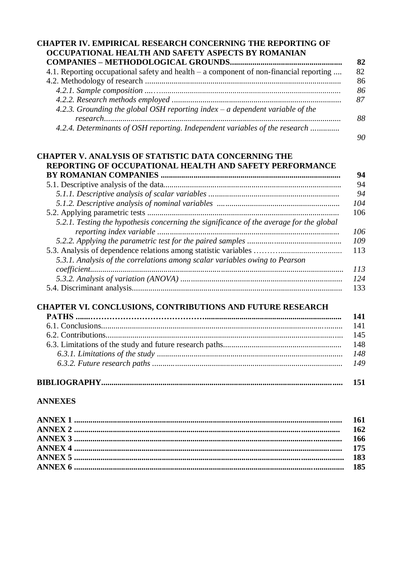| 4.1. Reporting occupational safety and health - a component of non-financial reporting  |
|-----------------------------------------------------------------------------------------|
|                                                                                         |
|                                                                                         |
|                                                                                         |
| 4.2.3. Grounding the global OSH reporting index $-$ a dependent variable of the         |
| 4.2.4. Determinants of OSH reporting. Independent variables of the research             |
| <b>CHAPTER V. ANALYSIS OF STATISTIC DATA CONCERNING THE</b>                             |
| REPORTING OF OCCUPATIONAL HEALTH AND SAFETY PERFORMANCE                                 |
|                                                                                         |
|                                                                                         |
|                                                                                         |
|                                                                                         |
|                                                                                         |
| 5.2.1. Testing the hypothesis concerning the significance of the average for the global |
|                                                                                         |
|                                                                                         |
| 5.3.1. Analysis of the correlations among scalar variables owing to Pearson             |
|                                                                                         |
|                                                                                         |
| CHAPTER VI. CONCLUSIONS, CONTRIBUTIONS AND FUTURE RESEARCH                              |
|                                                                                         |
|                                                                                         |
|                                                                                         |
|                                                                                         |

# **BIBLIOGRAPHY...................................................................................................................... 151**

## **ANNEXES**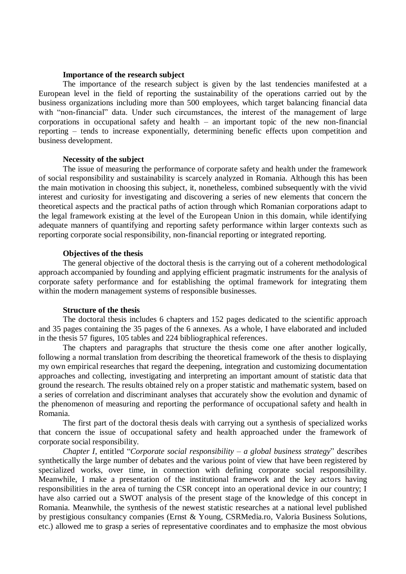#### **Importance of the research subject**

The importance of the research subject is given by the last tendencies manifested at a European level in the field of reporting the sustainability of the operations carried out by the business organizations including more than 500 employees, which target balancing financial data with "non-financial" data. Under such circumstances, the interest of the management of large corporations in occupational safety and health – an important topic of the new non-financial reporting – tends to increase exponentially, determining benefic effects upon competition and business development.

#### **Necessity of the subject**

The issue of measuring the performance of corporate safety and health under the framework of social responsibility and sustainability is scarcely analyzed in Romania. Although this has been the main motivation in choosing this subject, it, nonetheless, combined subsequently with the vivid interest and curiosity for investigating and discovering a series of new elements that concern the theoretical aspects and the practical paths of action through which Romanian corporations adapt to the legal framework existing at the level of the European Union in this domain, while identifying adequate manners of quantifying and reporting safety performance within larger contexts such as reporting corporate social responsibility, non-financial reporting or integrated reporting.

#### **Objectives of the thesis**

The general objective of the doctoral thesis is the carrying out of a coherent methodological approach accompanied by founding and applying efficient pragmatic instruments for the analysis of corporate safety performance and for establishing the optimal framework for integrating them within the modern management systems of responsible businesses.

#### **Structure of the thesis**

The doctoral thesis includes 6 chapters and 152 pages dedicated to the scientific approach and 35 pages containing the 35 pages of the 6 annexes. As a whole, I have elaborated and included in the thesis 57 figures, 105 tables and 224 bibliographical references.

The chapters and paragraphs that structure the thesis come one after another logically, following a normal translation from describing the theoretical framework of the thesis to displaying my own empirical researches that regard the deepening, integration and customizing documentation approaches and collecting, investigating and interpreting an important amount of statistic data that ground the research. The results obtained rely on a proper statistic and mathematic system, based on a series of correlation and discriminant analyses that accurately show the evolution and dynamic of the phenomenon of measuring and reporting the performance of occupational safety and health in Romania.

The first part of the doctoral thesis deals with carrying out a synthesis of specialized works that concern the issue of occupational safety and health approached under the framework of corporate social responsibility.

*Chapter I*, entitled "*Corporate social responsibility – a global business strategy*" describes synthetically the large number of debates and the various point of view that have been registered by specialized works, over time, in connection with defining corporate social responsibility. Meanwhile, I make a presentation of the institutional framework and the key actors having responsibilities in the area of turning the CSR concept into an operational device in our country; I have also carried out a SWOT analysis of the present stage of the knowledge of this concept in Romania. Meanwhile, the synthesis of the newest statistic researches at a national level published by prestigious consultancy companies (Ernst & Young, CSRMedia.ro, Valoria Business Solutions, etc.) allowed me to grasp a series of representative coordinates and to emphasize the most obvious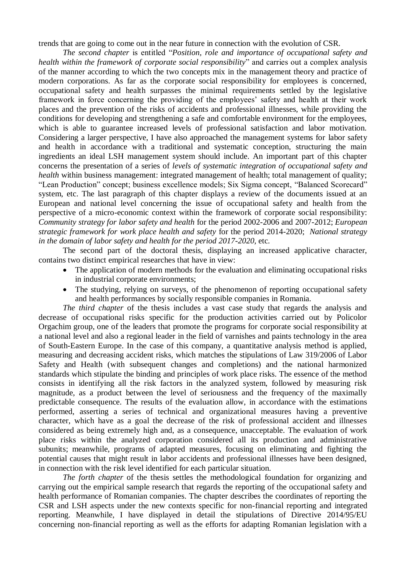trends that are going to come out in the near future in connection with the evolution of CSR.

*The second chapter* is entitled "*Position, role and importance of occupational safety and health within the framework of corporate social responsibility*" and carries out a complex analysis of the manner according to which the two concepts mix in the management theory and practice of modern corporations. As far as the corporate social responsibility for employees is concerned, occupational safety and health surpasses the minimal requirements settled by the legislative framework in force concerning the providing of the employees' safety and health at their work places and the prevention of the risks of accidents and professional illnesses, while providing the conditions for developing and strengthening a safe and comfortable environment for the employees, which is able to guarantee increased levels of professional satisfaction and labor motivation. Considering a larger perspective, I have also approached the management systems for labor safety and health in accordance with a traditional and systematic conception, structuring the main ingredients an ideal LSH management system should include. An important part of this chapter concerns the presentation of a series of *levels of systematic integration of occupational safety and health* within business management: integrated management of health; total management of quality; "Lean Production" concept; business excellence models; Six Sigma concept, "Balanced Scorecard" system, etc. The last paragraph of this chapter displays a review of the documents issued at an European and national level concerning the issue of occupational safety and health from the perspective of a micro-economic context within the framework of corporate social responsibility: *Community strategy for labor safety and health* for the period 2002-2006 and 2007-2012; *European strategic framework for work place health and safety* for the period 2014-2020; *National strategy in the domain of labor safety and health for the period 2017-2020*, etc.

The second part of the doctoral thesis, displaying an increased applicative character, contains two distinct empirical researches that have in view:

- The application of modern methods for the evaluation and eliminating occupational risks in industrial corporate environments;
- The studying, relying on surveys, of the phenomenon of reporting occupational safety and health performances by socially responsible companies in Romania.

*The third chapter* of the thesis includes a vast case study that regards the analysis and decrease of occupational risks specific for the production activities carried out by Policolor Orgachim group, one of the leaders that promote the programs for corporate social responsibility at a national level and also a regional leader in the field of varnishes and paints technology in the area of South-Eastern Europe. In the case of this company, a quantitative analysis method is applied, measuring and decreasing accident risks, which matches the stipulations of Law 319/2006 of Labor Safety and Health (with subsequent changes and completions) and the national harmonized standards which stipulate the binding and principles of work place risks. The essence of the method consists in identifying all the risk factors in the analyzed system, followed by measuring risk magnitude, as a product between the level of seriousness and the frequency of the maximally predictable consequence. The results of the evaluation allow, in accordance with the estimations performed, asserting a series of technical and organizational measures having a preventive character, which have as a goal the decrease of the risk of professional accident and illnesses considered as being extremely high and, as a consequence, unacceptable. The evaluation of work place risks within the analyzed corporation considered all its production and administrative subunits; meanwhile, programs of adapted measures, focusing on eliminating and fighting the potential causes that might result in labor accidents and professional illnesses have been designed, in connection with the risk level identified for each particular situation.

*The forth chapter* of the thesis settles the methodological foundation for organizing and carrying out the empirical sample research that regards the reporting of the occupational safety and health performance of Romanian companies. The chapter describes the coordinates of reporting the CSR and LSH aspects under the new contexts specific for non-financial reporting and integrated reporting. Meanwhile, I have displayed in detail the stipulations of Directive 2014/95/EU concerning non-financial reporting as well as the efforts for adapting Romanian legislation with a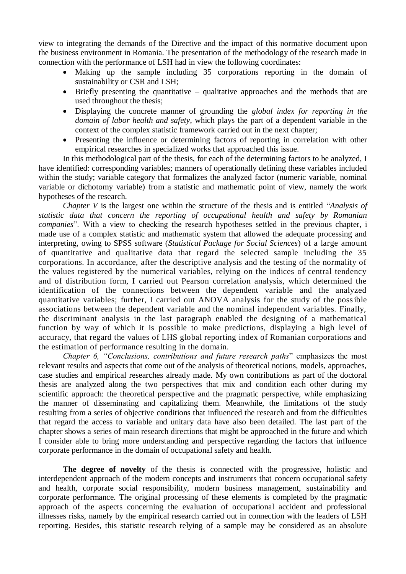view to integrating the demands of the Directive and the impact of this normative document upon the business environment in Romania. The presentation of the methodology of the research made in connection with the performance of LSH had in view the following coordinates:

- Making up the sample including 35 corporations reporting in the domain of sustainability or CSR and LSH;
- $\bullet$  Briefly presenting the quantitative qualitative approaches and the methods that are used throughout the thesis;
- Displaying the concrete manner of grounding the *global index for reporting in the domain of labor health and safety*, which plays the part of a dependent variable in the context of the complex statistic framework carried out in the next chapter;
- Presenting the influence or determining factors of reporting in correlation with other empirical researches in specialized works that approached this issue.

In this methodological part of the thesis, for each of the determining factors to be analyzed, I have identified: corresponding variables; manners of operationally defining these variables included within the study; variable category that formalizes the analyzed factor (numeric variable, nominal variable or dichotomy variable) from a statistic and mathematic point of view, namely the work hypotheses of the research.

*Chapter V* is the largest one within the structure of the thesis and is entitled "*Analysis of statistic data that concern the reporting of occupational health and safety by Romanian companies*". With a view to checking the research hypotheses settled in the previous chapter, i made use of a complex statistic and mathematic system that allowed the adequate processing and interpreting, owing to SPSS software (*Statistical Package for Social Sciences*) of a large amount of quantitative and qualitative data that regard the selected sample including the 35 corporations. In accordance, after the descriptive analysis and the testing of the normality of the values registered by the numerical variables, relying on the indices of central tendency and of distribution form, I carried out Pearson correlation analysis, which determined the identification of the connections between the dependent variable and the analyzed quantitative variables; further, I carried out ANOVA analysis for the study of the possible associations between the dependent variable and the nominal independent variables. Finally, the discriminant analysis in the last paragraph enabled the designing of a mathematical function by way of which it is possible to make predictions, displaying a high level of accuracy, that regard the values of LHS global reporting index of Romanian corporations and the estimation of performance resulting in the domain.

*Chapter 6, "Conclusions, contributions and future research paths*" emphasizes the most relevant results and aspects that come out of the analysis of theoretical notions, models, approaches, case studies and empirical researches already made. My own contributions as part of the doctoral thesis are analyzed along the two perspectives that mix and condition each other during my scientific approach: the theoretical perspective and the pragmatic perspective, while emphasizing the manner of disseminating and capitalizing them. Meanwhile, the limitations of the study resulting from a series of objective conditions that influenced the research and from the difficulties that regard the access to variable and unitary data have also been detailed. The last part of the chapter shows a series of main research directions that might be approached in the future and which I consider able to bring more understanding and perspective regarding the factors that influence corporate performance in the domain of occupational safety and health.

**The degree of novelty** of the thesis is connected with the progressive, holistic and interdependent approach of the modern concepts and instruments that concern occupational safety and health, corporate social responsibility, modern business management, sustainability and corporate performance. The original processing of these elements is completed by the pragmatic approach of the aspects concerning the evaluation of occupational accident and professional illnesses risks, namely by the empirical research carried out in connection with the leaders of LSH reporting. Besides, this statistic research relying of a sample may be considered as an absolute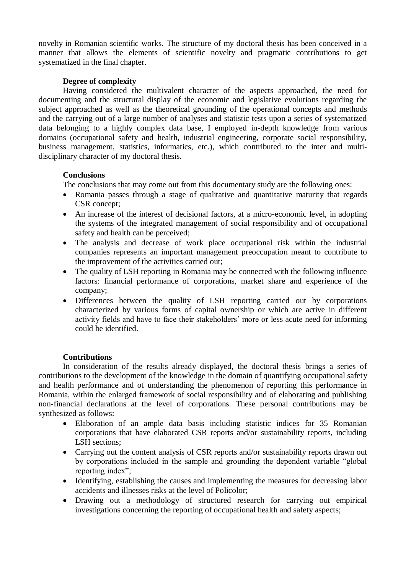novelty in Romanian scientific works. The structure of my doctoral thesis has been conceived in a manner that allows the elements of scientific novelty and pragmatic contributions to get systematized in the final chapter.

## **Degree of complexity**

Having considered the multivalent character of the aspects approached, the need for documenting and the structural display of the economic and legislative evolutions regarding the subject approached as well as the theoretical grounding of the operational concepts and methods and the carrying out of a large number of analyses and statistic tests upon a series of systematized data belonging to a highly complex data base, I employed in-depth knowledge from various domains (occupational safety and health, industrial engineering, corporate social responsibility, business management, statistics, informatics, etc.), which contributed to the inter and multidisciplinary character of my doctoral thesis.

## **Conclusions**

The conclusions that may come out from this documentary study are the following ones:

- Romania passes through a stage of qualitative and quantitative maturity that regards CSR concept;
- An increase of the interest of decisional factors, at a micro-economic level, in adopting the systems of the integrated management of social responsibility and of occupational safety and health can be perceived;
- The analysis and decrease of work place occupational risk within the industrial companies represents an important management preoccupation meant to contribute to the improvement of the activities carried out;
- The quality of LSH reporting in Romania may be connected with the following influence factors: financial performance of corporations, market share and experience of the company;
- Differences between the quality of LSH reporting carried out by corporations characterized by various forms of capital ownership or which are active in different activity fields and have to face their stakeholders' more or less acute need for informing could be identified.

### **Contributions**

In consideration of the results already displayed, the doctoral thesis brings a series of contributions to the development of the knowledge in the domain of quantifying occupational safety and health performance and of understanding the phenomenon of reporting this performance in Romania, within the enlarged framework of social responsibility and of elaborating and publishing non-financial declarations at the level of corporations. These personal contributions may be synthesized as follows:

- Elaboration of an ample data basis including statistic indices for 35 Romanian corporations that have elaborated CSR reports and/or sustainability reports, including LSH sections:
- Carrying out the content analysis of CSR reports and/or sustainability reports drawn out by corporations included in the sample and grounding the dependent variable "global reporting index";
- Identifying, establishing the causes and implementing the measures for decreasing labor accidents and illnesses risks at the level of Policolor;
- Drawing out a methodology of structured research for carrying out empirical investigations concerning the reporting of occupational health and safety aspects;